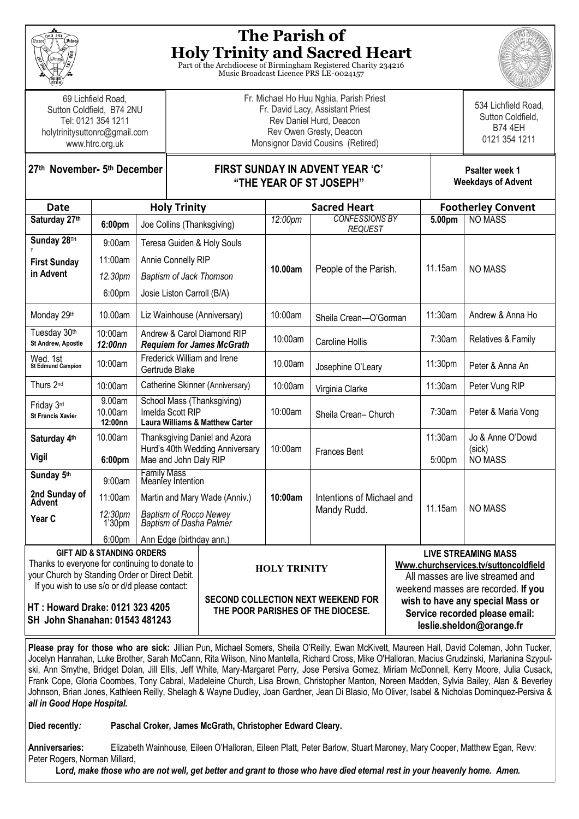

# **The Parish of Holy Trinity and Sacred Heart**

Part of the Archdiocese of Birmingham Registered Charity 234216 Music Broadcast Licence PRS LE-0024157



69 Lichfield Road, Sutton Coldfield, B74 2NU Tel: 0121 354 1211 holytrinitysuttonrc@gmail.com www.htrc.org.uk

Fr. Michael Ho Huu Nghia, Parish Priest Fr. David Lacy, Assistant Priest Rev Daniel Hurd, Deacon Rev Owen Gresty, Deacon Monsignor David Cousins (Retired)

534 Lichfield Road, Sutton Coldfield, B74 4EH 0121 354 1211

**Weekdays of Advent**

## **27th November- 5**

#### **FIRST SUNDAY IN ADVENT YEAR 'C' th December Psalter week 1 "THE YEAR OF ST JOSEPH"**

Date **Holy Trinity** Sacred Heart **Footherley Convent**<br> **Date** Footherley Convent<br> **Example Sacred Heart** Engine CONFESSIONS BY 5.00pm | NO MASS **Saturday 27th 6:00pm** Joe Collins (Thanksgiving) 12:00pm *REQUEST* **NO MASS Sunday 28TH T First Sunday in Advent**  9:00am 11:00am *12.30pm* 6:00pm Teresa Guiden & Holy Souls Annie Connelly RIP *Baptism of Jack Thomson* Josie Liston Carroll (B/A) **10.00am** People of the Parish. 11.15am NO MASS Monday 29<sup>th</sup> 10.00am Liz Wainhouse (Anniversary) 10:00am Sheila Crean—O'Gorman 11:30am Andrew & Anna Ho Tuesday 30th **St Andrew, Apostle** 10:00am *12:00nn* Andrew & Carol Diamond RIP Andrew & Carol Diamond Rim (10:00am | Caroline Hollis | 7:30am | Relatives & Family Relatives & Family Wed. 1st<br>St Edmund Campion | 10:00am | Frederick William and Irene Frederick William and Irene | 10.00am | Josephine O'Leary | 11:30pm | Peter & Anna An Thurs 2<sup>nd</sup> | 10:00am | Catherine Skinner (Anniversary) | 10:00am | Virginia Clarke | 11:30am | Peter Vung RIP Friday 3rd **St Francis Xavie**r 9.00am 10.00am  **12:00nn** School Mass (Thanksgiving) Imelda Scott RIP **Laura Williams & Matthew Carter** 10:00am Sheila Crean– Church 7:30am Peter & Maria Vong **Saturday 4th Vigil** 10.00am  **6:00pm** Thanksgiving Daniel and Azora Hurd's 40th Wedding Anniversary Mae and John Daly RIP 10:00am | Frances Bent 11:30am 5:00pm Jo & Anne O'Dowd (sick) NO MASS **Sunday 5th 2nd Sunday of Advent Year C** 9:00am 11:00am *12:30pm*  1'30pm 6:00pm Family Mass Meanley Intention Martin and Mary Wade (Anniv.) *Baptism of Rocco Newey Baptism of Dasha Palmer* Ann Edge (birthday ann.) **10:00am** Intentions of Michael and Mandy Rudd. 11.15am | NO MASS **GIFT AID & STANDING ORDERS** Thanks to everyone for continuing to donate to your Church by Standing Order or Direct Debit. If you wish to use s/o or d/d please contact: **HT : Howard Drake: 0121 323 4205 SH John Shanahan: 01543 481243 HOLY TRINITY SECOND COLLECTION NEXT WEEKEND FOR THE POOR PARISHES OF THE DIOCESE. LIVE STREAMING MASS Www.churchservices.tv/suttoncoldfield** All masses are live streamed and weekend masses are recorded. **If you wish to have any special Mass or Service recorded please email: leslie.sheldon@orange.fr**

**Please pray for those who are sick:** Jillian Pun, Michael Somers, Sheila O'Reilly, Ewan McKivett, Maureen Hall, David Coleman, John Tucker, Jocelyn Hanrahan, Luke Brother, Sarah McCann, Rita Wilson, Nino Mantella, Richard Cross, Mike O'Halloran, Macius Grudzinski, Marianina Szypulski, Ann Smythe, Bridget Dolan, Jill Ellis, Jeff White, Mary-Margaret Perry, Jose Persiva Gomez, Miriam McDonnell, Kerry Moore, Julia Cusack, Frank Cope, Gloria Coombes, Tony Cabral, Madeleine Church, Lisa Brown, Christopher Manton, Noreen Madden, Sylvia Bailey, Alan & Beverley Johnson, Brian Jones, Kathleen Reilly, Shelagh & Wayne Dudley, Joan Gardner, Jean Di Blasio, Mo Oliver, Isabel & Nicholas Dominquez-Persiva & *all in Good Hope Hospital.*

**Died recently***:* **Paschal Croker, James McGrath, Christopher Edward Cleary.**

**Anniversaries:** Elizabeth Wainhouse, Eileen O'Halloran, Eileen Platt, Peter Barlow, Stuart Maroney, Mary Cooper, Matthew Egan, Revv: Peter Rogers, Norman Millard,

**Lor***d, make those who are not well, get better and grant to those who have died eternal rest in your heavenly home. Amen.*